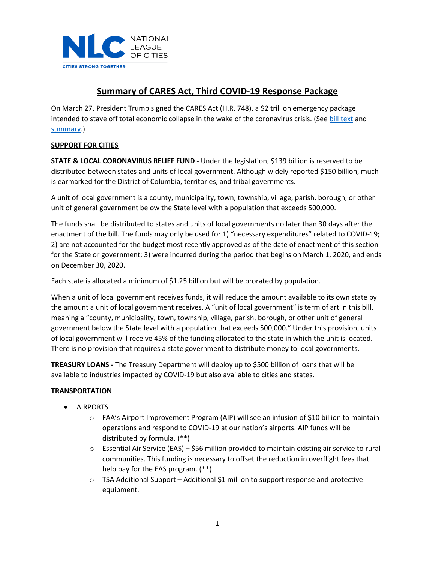

# **Summary of CARES Act, Third COVID-19 Response Package**

On March 27, President Trump signed the CARES Act (H.R. 748), a \$2 trillion emergency package intended to stave off total economic collapse in the wake of the coronavirus crisis. (See [bill text](https://www.nlc.org/sites/default/files/users/user52651/HEN20309%20(002).pdf) and [summary.](https://www.nlc.org/sites/default/files/users/user52651/Keeping%20American%20Workers%20Employed%20and%20Paid%20Act_Section-by-Section-%203-25-20%20(1).pdf))

### **SUPPORT FOR CITIES**

**STATE & LOCAL CORONAVIRUS RELIEF FUND -** Under the legislation, \$139 billion is reserved to be distributed between states and units of local government. Although widely reported \$150 billion, much is earmarked for the District of Columbia, territories, and tribal governments.

A unit of local government is a county, municipality, town, township, village, parish, borough, or other unit of general government below the State level with a population that exceeds 500,000.

The funds shall be distributed to states and units of local governments no later than 30 days after the enactment of the bill. The funds may only be used for 1) "necessary expenditures" related to COVID-19; 2) are not accounted for the budget most recently approved as of the date of enactment of this section for the State or government; 3) were incurred during the period that begins on March 1, 2020, and ends on December 30, 2020.

Each state is allocated a minimum of \$1.25 billion but will be prorated by population.

When a unit of local government receives funds, it will reduce the amount available to its own state by the amount a unit of local government receives. A "unit of local government" is term of art in this bill, meaning a "county, municipality, town, township, village, parish, borough, or other unit of general government below the State level with a population that exceeds 500,000." Under this provision, units of local government will receive 45% of the funding allocated to the state in which the unit is located. There is no provision that requires a state government to distribute money to local governments.

**TREASURY LOANS -** The Treasury Department will deploy up to \$500 billion of loans that will be available to industries impacted by COVID-19 but also available to cities and states.

### **TRANSPORTATION**

- **AIRPORTS** 
	- o FAA's Airport Improvement Program (AIP) will see an infusion of \$10 billion to maintain operations and respond to COVID-19 at our nation's airports. AIP funds will be distributed by formula. (\*\*)
	- $\circ$  Essential Air Service (EAS) \$56 million provided to maintain existing air service to rural communities. This funding is necessary to offset the reduction in overflight fees that help pay for the EAS program. (\*\*)
	- $\circ$  TSA Additional Support Additional \$1 million to support response and protective equipment.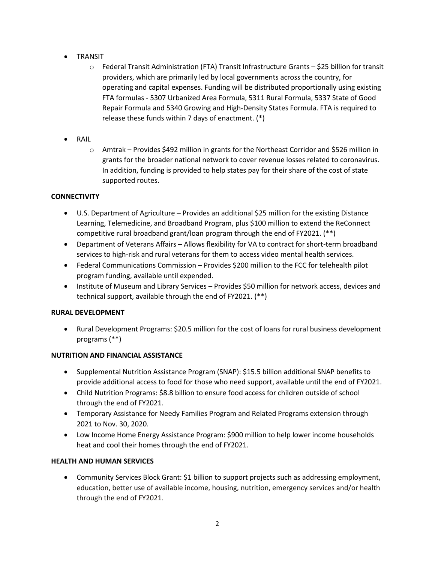- TRANSIT
	- o Federal Transit Administration (FTA) Transit Infrastructure Grants \$25 billion for transit providers, which are primarily led by local governments across the country, for operating and capital expenses. Funding will be distributed proportionally using existing FTA formulas - 5307 Urbanized Area Formula, 5311 Rural Formula, 5337 State of Good Repair Formula and 5340 Growing and High-Density States Formula. FTA is required to release these funds within 7 days of enactment. (\*)
- RAIL
	- o Amtrak Provides \$492 million in grants for the Northeast Corridor and \$526 million in grants for the broader national network to cover revenue losses related to coronavirus. In addition, funding is provided to help states pay for their share of the cost of state supported routes.

### **CONNECTIVITY**

- U.S. Department of Agriculture Provides an additional \$25 million for the existing Distance Learning, Telemedicine, and Broadband Program, plus \$100 million to extend the ReConnect competitive rural broadband grant/loan program through the end of FY2021. (\*\*)
- Department of Veterans Affairs Allows flexibility for VA to contract for short-term broadband services to high-risk and rural veterans for them to access video mental health services.
- Federal Communications Commission Provides \$200 million to the FCC for telehealth pilot program funding, available until expended.
- Institute of Museum and Library Services Provides \$50 million for network access, devices and technical support, available through the end of FY2021. (\*\*)

### **RURAL DEVELOPMENT**

• Rural Development Programs: \$20.5 million for the cost of loans for rural business development programs (\*\*)

### **NUTRITION AND FINANCIAL ASSISTANCE**

- Supplemental Nutrition Assistance Program (SNAP): \$15.5 billion additional SNAP benefits to provide additional access to food for those who need support, available until the end of FY2021.
- Child Nutrition Programs: \$8.8 billion to ensure food access for children outside of school through the end of FY2021.
- Temporary Assistance for Needy Families Program and Related Programs extension through 2021 to Nov. 30, 2020.
- Low Income Home Energy Assistance Program: \$900 million to help lower income households heat and cool their homes through the end of FY2021.

### **HEALTH AND HUMAN SERVICES**

• Community Services Block Grant: \$1 billion to support projects such as addressing employment, education, better use of available income, housing, nutrition, emergency services and/or health through the end of FY2021.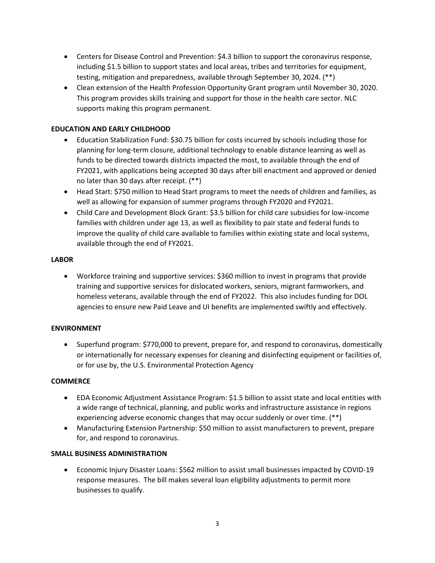- Centers for Disease Control and Prevention: \$4.3 billion to support the coronavirus response, including \$1.5 billion to support states and local areas, tribes and territories for equipment, testing, mitigation and preparedness, available through September 30, 2024. (\*\*)
- Clean extension of the Health Profession Opportunity Grant program until November 30, 2020. This program provides skills training and support for those in the health care sector. NLC supports making this program permanent.

### **EDUCATION AND EARLY CHILDHOOD**

- Education Stabilization Fund: \$30.75 billion for costs incurred by schools including those for planning for long-term closure, additional technology to enable distance learning as well as funds to be directed towards districts impacted the most, to available through the end of FY2021, with applications being accepted 30 days after bill enactment and approved or denied no later than 30 days after receipt. (\*\*)
- Head Start: \$750 million to Head Start programs to meet the needs of children and families, as well as allowing for expansion of summer programs through FY2020 and FY2021.
- Child Care and Development Block Grant: \$3.5 billion for child care subsidies for low-income families with children under age 13, as well as flexibility to pair state and federal funds to improve the quality of child care available to families within existing state and local systems, available through the end of FY2021.

#### **LABOR**

• Workforce training and supportive services: \$360 million to invest in programs that provide training and supportive services for dislocated workers, seniors, migrant farmworkers, and homeless veterans, available through the end of FY2022. This also includes funding for DOL agencies to ensure new Paid Leave and UI benefits are implemented swiftly and effectively.

#### **ENVIRONMENT**

• Superfund program: \$770,000 to prevent, prepare for, and respond to coronavirus, domestically or internationally for necessary expenses for cleaning and disinfecting equipment or facilities of, or for use by, the U.S. Environmental Protection Agency

#### **COMMERCE**

- EDA Economic Adjustment Assistance Program: \$1.5 billion to assist state and local entities with a wide range of technical, planning, and public works and infrastructure assistance in regions experiencing adverse economic changes that may occur suddenly or over time. (\*\*)
- Manufacturing Extension Partnership: \$50 million to assist manufacturers to prevent, prepare for, and respond to coronavirus.

#### **SMALL BUSINESS ADMINISTRATION**

• Economic Injury Disaster Loans: \$562 million to assist small businesses impacted by COVID-19 response measures. The bill makes several loan eligibility adjustments to permit more businesses to qualify.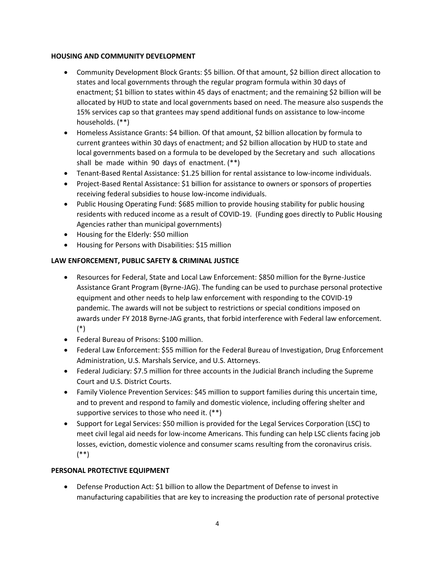### **HOUSING AND COMMUNITY DEVELOPMENT**

- Community Development Block Grants: \$5 billion. Of that amount, \$2 billion direct allocation to states and local governments through the regular program formula within 30 days of enactment; \$1 billion to states within 45 days of enactment; and the remaining \$2 billion will be allocated by HUD to state and local governments based on need. The measure also suspends the 15% services cap so that grantees may spend additional funds on assistance to low-income households. (\*\*)
- Homeless Assistance Grants: \$4 billion. Of that amount, \$2 billion allocation by formula to current grantees within 30 days of enactment; and \$2 billion allocation by HUD to state and local governments based on a formula to be developed by the Secretary and such allocations shall be made within 90 days of enactment. (\*\*)
- Tenant-Based Rental Assistance: \$1.25 billion for rental assistance to low-income individuals.
- Project-Based Rental Assistance: \$1 billion for assistance to owners or sponsors of properties receiving federal subsidies to house low-income individuals.
- Public Housing Operating Fund: \$685 million to provide housing stability for public housing residents with reduced income as a result of COVID-19. (Funding goes directly to Public Housing Agencies rather than municipal governments)
- Housing for the Elderly: \$50 million
- Housing for Persons with Disabilities: \$15 million

## **LAW ENFORCEMENT, PUBLIC SAFETY & CRIMINAL JUSTICE**

- Resources for Federal, State and Local Law Enforcement: \$850 million for the Byrne-Justice Assistance Grant Program (Byrne-JAG). The funding can be used to purchase personal protective equipment and other needs to help law enforcement with responding to the COVID-19 pandemic. The awards will not be subject to restrictions or special conditions imposed on awards under FY 2018 Byrne-JAG grants, that forbid interference with Federal law enforcement. (\*)
- Federal Bureau of Prisons: \$100 million.
- Federal Law Enforcement: \$55 million for the Federal Bureau of Investigation, Drug Enforcement Administration, U.S. Marshals Service, and U.S. Attorneys.
- Federal Judiciary: \$7.5 million for three accounts in the Judicial Branch including the Supreme Court and U.S. District Courts.
- Family Violence Prevention Services: \$45 million to support families during this uncertain time, and to prevent and respond to family and domestic violence, including offering shelter and supportive services to those who need it. (\*\*)
- Support for Legal Services: \$50 million is provided for the Legal Services Corporation (LSC) to meet civil legal aid needs for low-income Americans. This funding can help LSC clients facing job losses, eviction, domestic violence and consumer scams resulting from the coronavirus crisis. (\*\*)

### **PERSONAL PROTECTIVE EQUIPMENT**

• Defense Production Act: \$1 billion to allow the Department of Defense to invest in manufacturing capabilities that are key to increasing the production rate of personal protective